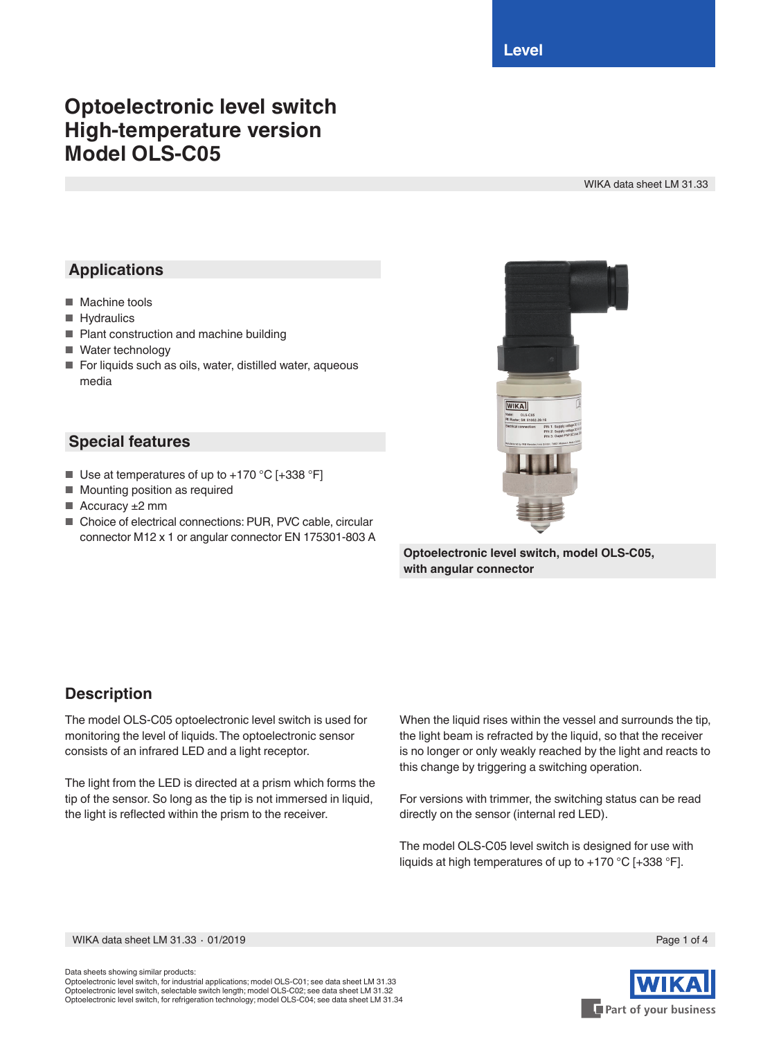**Level**

# **Optoelectronic level switch High-temperature version Model OLS-C05**

WIKA data sheet LM 31.33

## **Applications**

- Machine tools
- Hydraulics
- Plant construction and machine building
- Water technology
- For liquids such as oils, water, distilled water, aqueous media

## **Special features**

- Use at temperatures of up to  $+170$  °C [ $+338$  °F]
- Mounting position as required
- $\blacksquare$  Accuracy  $\pm 2$  mm
- Choice of electrical connections: PUR, PVC cable, circular connector M12 x 1 or angular connector EN 175301-803 A



**Optoelectronic level switch, model OLS-C05, with angular connector**

## **Description**

The model OLS-C05 optoelectronic level switch is used for monitoring the level of liquids. The optoelectronic sensor consists of an infrared LED and a light receptor.

The light from the LED is directed at a prism which forms the tip of the sensor. So long as the tip is not immersed in liquid, the light is reflected within the prism to the receiver.

When the liquid rises within the vessel and surrounds the tip, the light beam is refracted by the liquid, so that the receiver is no longer or only weakly reached by the light and reacts to this change by triggering a switching operation.

For versions with trimmer, the switching status can be read directly on the sensor (internal red LED).

The model OLS-C05 level switch is designed for use with liquids at high temperatures of up to  $+170$  °C [+338 °F].

WIKA data sheet LM 31.33 ⋅ 01/2019 Page 1 of 4

Data sheets showing similar products: Optoelectronic level switch, for industrial applications; model OLS-C01; see data sheet LM 31.33 Optoelectronic level switch, selectable switch length; model OLS-C02; see data sheet LM 31.32 Optoelectronic level switch, for refrigeration technology; model OLS-C04; see data sheet LM 31.34

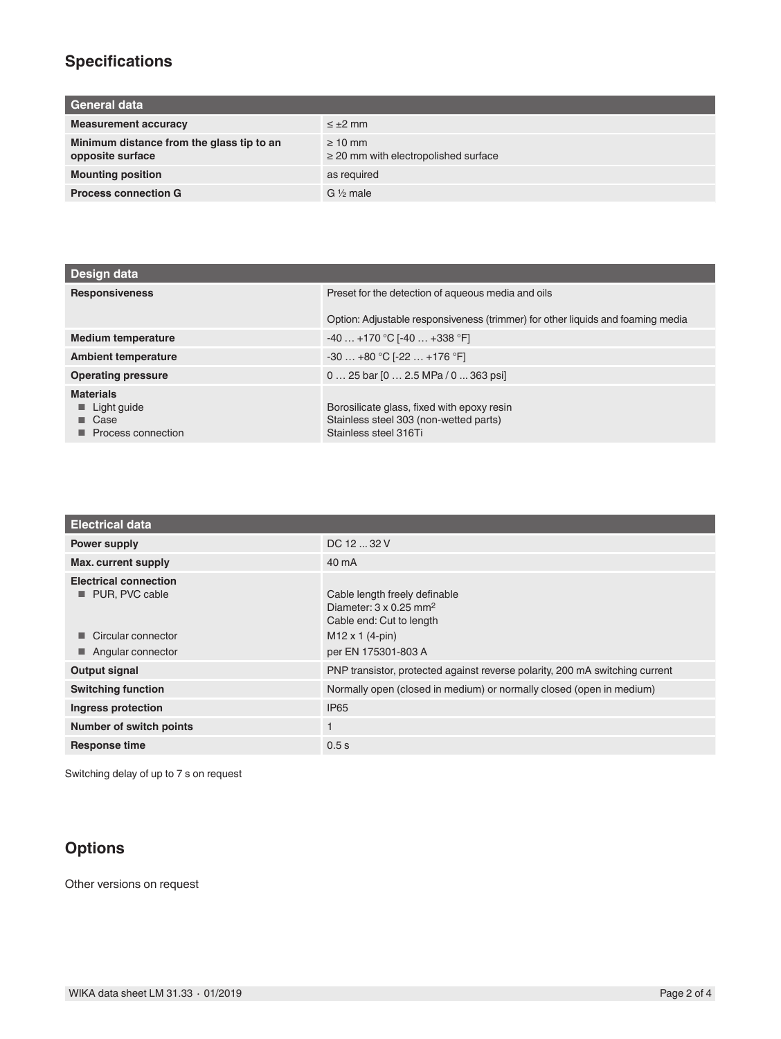# **Specifications**

| General data                                                  |                                                           |
|---------------------------------------------------------------|-----------------------------------------------------------|
| <b>Measurement accuracy</b>                                   | $\leq \pm 2$ mm                                           |
| Minimum distance from the glass tip to an<br>opposite surface | $\geq 10$ mm<br>$\geq$ 20 mm with electropolished surface |
| <b>Mounting position</b>                                      | as required                                               |
| <b>Process connection G</b>                                   | $G\frac{1}{2}$ male                                       |

| Design data                                                                                |                                                                                                               |
|--------------------------------------------------------------------------------------------|---------------------------------------------------------------------------------------------------------------|
| <b>Responsiveness</b>                                                                      | Preset for the detection of aqueous media and oils                                                            |
|                                                                                            | Option: Adjustable responsiveness (trimmer) for other liquids and foaming media                               |
| <b>Medium temperature</b>                                                                  | $-40+170$ °C [ $-40+338$ °F]                                                                                  |
| <b>Ambient temperature</b>                                                                 | $-30+80 °C$ [-22  +176 °F]                                                                                    |
| <b>Operating pressure</b>                                                                  | $0 25$ bar $[0 2.5$ MPa $/ 0 363$ psi                                                                         |
| <b>Materials</b><br>$\blacksquare$ Light guide<br>$\Box$ Case<br><b>Process connection</b> | Borosilicate glass, fixed with epoxy resin<br>Stainless steel 303 (non-wetted parts)<br>Stainless steel 316Ti |

| <b>Electrical data</b>                                                                      |                                                                                                                                                         |
|---------------------------------------------------------------------------------------------|---------------------------------------------------------------------------------------------------------------------------------------------------------|
| Power supply                                                                                | DC 12  32 V                                                                                                                                             |
| Max. current supply                                                                         | 40 mA                                                                                                                                                   |
| <b>Electrical connection</b><br>PUR, PVC cable<br>Circular connector<br>■ Angular connector | Cable length freely definable<br>Diameter: $3 \times 0.25$ mm <sup>2</sup><br>Cable end: Cut to length<br>$M12 \times 1$ (4-pin)<br>per EN 175301-803 A |
| Output signal                                                                               | PNP transistor, protected against reverse polarity, 200 mA switching current                                                                            |
| <b>Switching function</b>                                                                   | Normally open (closed in medium) or normally closed (open in medium)                                                                                    |
| Ingress protection                                                                          | <b>IP65</b>                                                                                                                                             |
| Number of switch points                                                                     |                                                                                                                                                         |
| <b>Response time</b>                                                                        | 0.5s                                                                                                                                                    |

Switching delay of up to 7 s on request

# **Options**

Other versions on request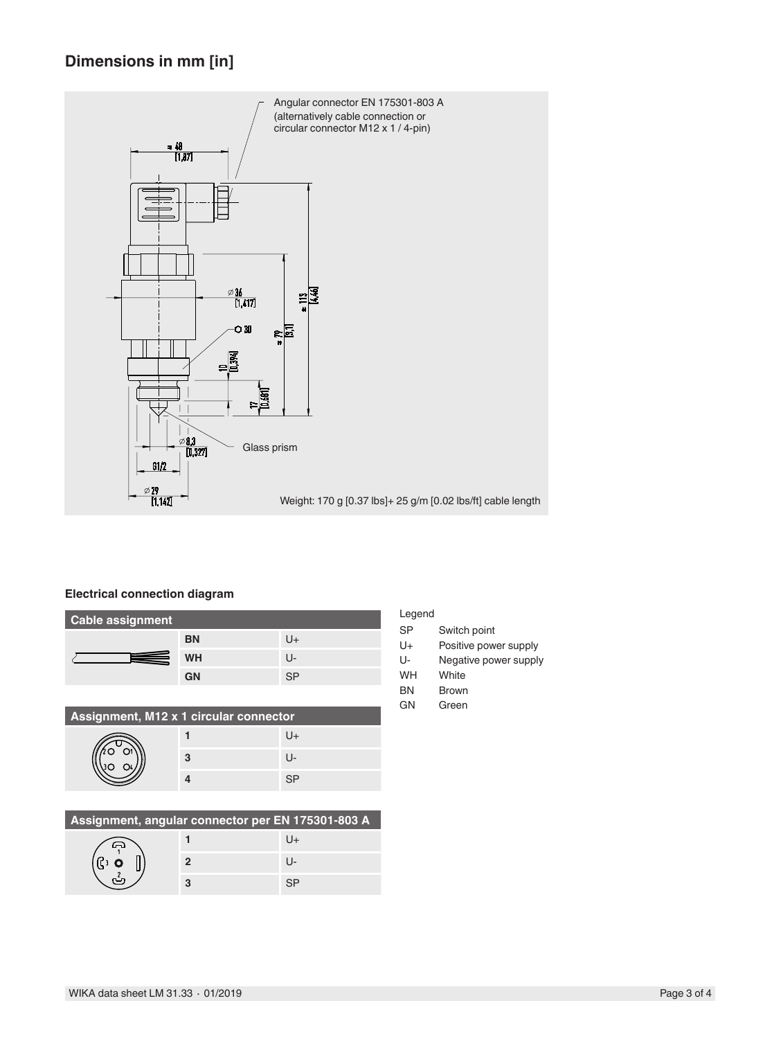## **Dimensions in mm [in]**



### **Electrical connection diagram**

| <b>Cable assignment</b> |           |     |
|-------------------------|-----------|-----|
| $\implies$              | <b>BN</b> | U+  |
|                         | WH        | U-  |
|                         | <b>GN</b> | SP. |

| Assignment, M12 x 1 circular connector |   |      |
|----------------------------------------|---|------|
|                                        |   | ∔ا ا |
|                                        | 3 | l I. |
|                                        |   | ᄋ    |

| Assignment, angular connector per EN 175301-803 A |  |  |
|---------------------------------------------------|--|--|
|                                                   |  |  |

| ౚ                   |  |
|---------------------|--|
| $\bullet$<br>$\sim$ |  |
|                     |  |

| eΓ |  |
|----|--|
|----|--|

- SP Switch point
- U+ Positive power supply
- U- Negative power supply
- WH White
- BN Brown
- GN Green